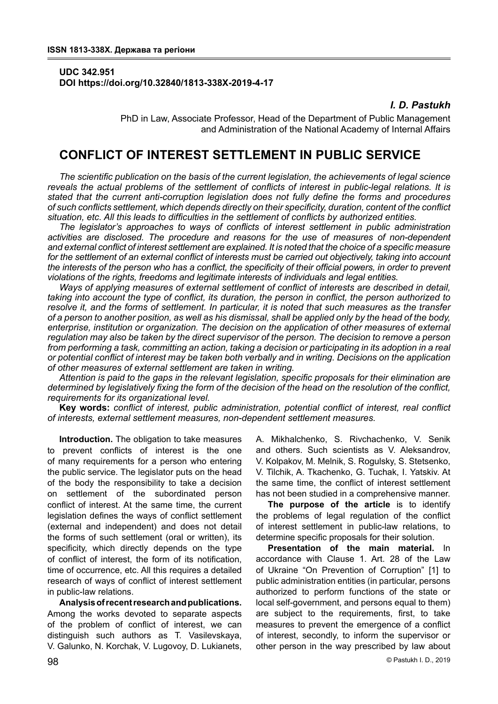## **UDC 342.951 DOI https://doi.org/10.32840/1813-338X-2019-4-17**

# *I. D. Pastukh*

PhD in Law, Associate Professor, Head of the Department of Public Management and Administration of the National Academy of Internal Affairs

# **CONFLICT OF INTEREST SETTLEMENT IN PUBLIC SERVICE**

*The scientific publication on the basis of the current legislation, the achievements of legal science reveals the actual problems of the settlement of conflicts of interest in public-legal relations. It is stated that the current anti-corruption legislation does not fully define the forms and procedures of such conflicts settlement, which depends directly on their specificity, duration, content of the conflict situation, etc. All this leads to difficulties in the settlement of conflicts by authorized entities.*

*The legislator's approaches to ways of conflicts of interest settlement in public administration activities are disclosed. The procedure and reasons for the use of measures of non-dependent and external conflict of interest settlement are explained. It is noted that the choice of a specific measure for the settlement of an external conflict of interests must be carried out objectively, taking into account the interests of the person who has a conflict, the specificity of their official powers, in order to prevent violations of the rights, freedoms and legitimate interests of individuals and legal entities.*

*Ways of applying measures of external settlement of conflict of interests are described in detail, taking into account the type of conflict, its duration, the person in conflict, the person authorized to resolve it, and the forms of settlement. In particular, it is noted that such measures as the transfer of a person to another position, as well as his dismissal, shall be applied only by the head of the body, enterprise, institution or organization. The decision on the application of other measures of external regulation may also be taken by the direct supervisor of the person. The decision to remove a person from performing a task, committing an action, taking a decision or participating in its adoption in a real or potential conflict of interest may be taken both verbally and in writing. Decisions on the application of other measures of external settlement are taken in writing.*

*Attention is paid to the gaps in the relevant legislation, specific proposals for their elimination are determined by legislatively fixing the form of the decision of the head on the resolution of the conflict, requirements for its organizational level.*

**Key words:** *conflict of interest, public administration, potential conflict of interest, real conflict of interests, external settlement measures, non-dependent settlement measures.*

**Introduction.** The obligation to take measures to prevent conflicts of interest is the one of many requirements for a person who entering the public service. The legislator puts on the head of the body the responsibility to take a decision on settlement of the subordinated person conflict of interest. At the same time, the current legislation defines the ways of conflict settlement (external and independent) and does not detail the forms of such settlement (oral or written), its specificity, which directly depends on the type of conflict of interest, the form of its notification, time of occurrence, etc. All this requires a detailed research of ways of conflict of interest settlement in public-law relations.

**Analysis of recent research and publications.** Among the works devoted to separate aspects of the problem of conflict of interest, we can distinguish such authors as T. Vasilevskaya, V. Galunko, N. Korchak, V. Lugovoy, D. Lukianets, A. Mikhalchenko, S. Rivchachenko, V. Senik and others. Such scientists as V. Aleksandrov, V. Kolpakov, M. Melnik, S. Rogulsky, S. Stetsenko, V. Tilchik, A. Tkachenko, G. Tuchak, I. Yatskiv. At the same time, the conflict of interest settlement has not been studied in a comprehensive manner.

**The purpose of the article** is to identify the problems of legal regulation of the conflict of interest settlement in public-law relations, to determine specific proposals for their solution.

**Presentation of the main material.** In accordance with Clause 1. Art. 28 of the Law of Ukraine "On Prevention of Corruption" [1] to public administration entities (in particular, persons authorized to perform functions of the state or local self-government, and persons equal to them) are subject to the requirements, first, to take measures to prevent the emergence of a conflict of interest, secondly, to inform the supervisor or other person in the way prescribed by law about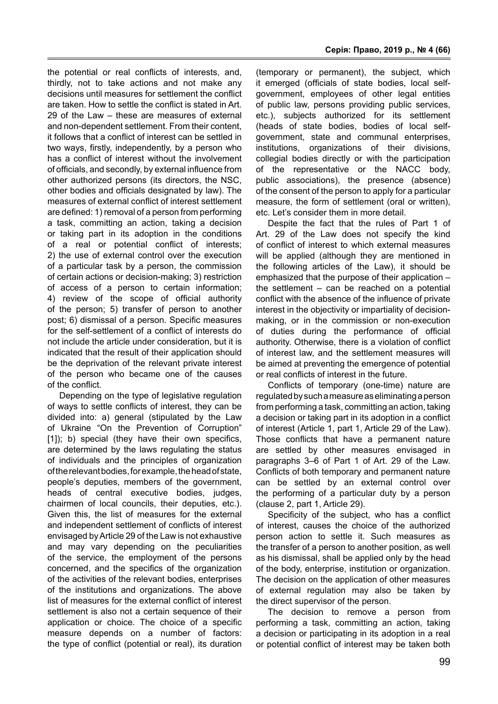the potential or real conflicts of interests, and, thirdly, not to take actions and not make any decisions until measures for settlement the conflict are taken. How to settle the conflict is stated in Art. 29 of the Law – these are measures of external and non-dependent settlement. From their content, it follows that a conflict of interest can be settled in two ways, firstly, independently, by a person who has a conflict of interest without the involvement of officials, and secondly, by external influence from other authorized persons (its directors, the NSC, other bodies and officials designated by law). The measures of external conflict of interest settlement are defined: 1) removal of a person from performing a task, committing an action, taking a decision or taking part in its adoption in the conditions of a real or potential conflict of interests; 2) the use of external control over the execution of a particular task by a person, the commission of certain actions or decision-making; 3) restriction of access of a person to certain information; 4) review of the scope of official authority of the person; 5) transfer of person to another post; 6) dismissal of a person. Specific measures for the self-settlement of a conflict of interests do not include the article under consideration, but it is indicated that the result of their application should be the deprivation of the relevant private interest of the person who became one of the causes of the conflict.

Depending on the type of legislative regulation of ways to settle conflicts of interest, they can be divided into: a) general (stipulated by the Law of Ukraine "On the Prevention of Corruption" [1]); b) special (they have their own specifics, are determined by the laws regulating the status of individuals and the principles of organization of the relevant bodies, for example, the head of state, people's deputies, members of the government, heads of central executive bodies, judges, chairmen of local councils, their deputies, etc.). Given this, the list of measures for the external and independent settlement of conflicts of interest envisaged by Article 29 of the Law is not exhaustive and may vary depending on the peculiarities of the service, the employment of the persons concerned, and the specifics of the organization of the activities of the relevant bodies, enterprises of the institutions and organizations. The above list of measures for the external conflict of interest settlement is also not a certain sequence of their application or choice. The choice of a specific measure depends on a number of factors: the type of conflict (potential or real), its duration

(temporary or permanent), the subject, which it emerged (officials of state bodies, local selfgovernment, employees of other legal entities of public law, persons providing public services, etc.), subjects authorized for its settlement (heads of state bodies, bodies of local selfgovernment, state and communal enterprises, institutions, organizations of their divisions, collegial bodies directly or with the participation of the representative or the NACC body, public associations), the presence (absence) of the consent of the person to apply for a particular measure, the form of settlement (oral or written), etc. Let's consider them in more detail.

Despite the fact that the rules of Part 1 of Art. 29 of the Law does not specify the kind of conflict of interest to which external measures will be applied (although they are mentioned in the following articles of the Law), it should be emphasized that the purpose of their application – the settlement – can be reached on a potential conflict with the absence of the influence of private interest in the objectivity or impartiality of decisionmaking, or in the commission or non-execution of duties during the performance of official authority. Otherwise, there is a violation of conflict of interest law, and the settlement measures will be aimed at preventing the emergence of potential or real conflicts of interest in the future.

Conflicts of temporary (one-time) nature are regulated by such a measure as eliminating a person from performing a task, committing an action, taking a decision or taking part in its adoption in a conflict of interest (Article 1, part 1, Article 29 of the Law). Those conflicts that have a permanent nature are settled by other measures envisaged in paragraphs 3–6 of Part 1 of Art. 29 of the Law. Conflicts of both temporary and permanent nature can be settled by an external control over the performing of a particular duty by a person (clause 2, part 1, Article 29).

Specificity of the subject, who has a conflict of interest, causes the choice of the authorized person action to settle it. Such measures as the transfer of a person to another position, as well as his dismissal, shall be applied only by the head of the body, enterprise, institution or organization. The decision on the application of other measures of external regulation may also be taken by the direct supervisor of the person.

The decision to remove a person from performing a task, committing an action, taking a decision or participating in its adoption in a real or potential conflict of interest may be taken both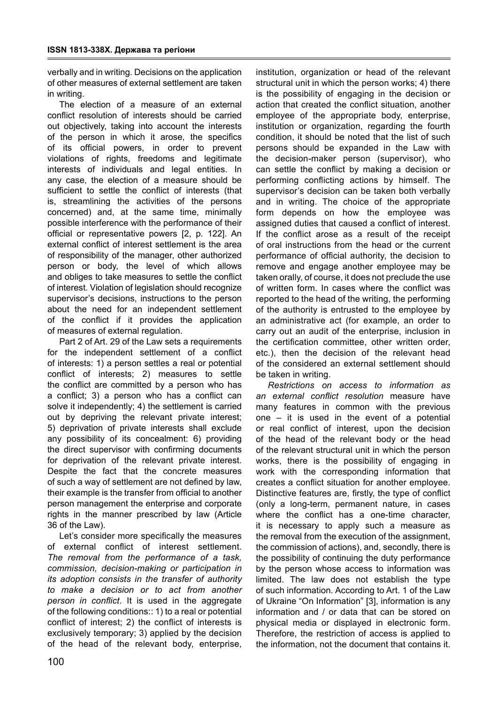verbally and in writing. Decisions on the application of other measures of external settlement are taken in writing.

The election of a measure of an external conflict resolution of interests should be carried out objectively, taking into account the interests of the person in which it arose, the specifics of its official powers, in order to prevent violations of rights, freedoms and legitimate interests of individuals and legal entities. In any case, the election of a measure should be sufficient to settle the conflict of interests (that is, streamlining the activities of the persons concerned) and, at the same time, minimally possible interference with the performance of their official or representative powers [2, p. 122]. An external conflict of interest settlement is the area of responsibility of the manager, other authorized person or body, the level of which allows and obliges to take measures to settle the conflict of interest. Violation of legislation should recognize supervisor's decisions, instructions to the person about the need for an independent settlement of the conflict if it provides the application of measures of external regulation.

Part 2 of Art. 29 of the Law sets a requirements for the independent settlement of a conflict of interests: 1) a person settles a real or potential conflict of interests; 2) measures to settle the conflict are committed by a person who has a conflict; 3) a person who has a conflict can solve it independently; 4) the settlement is carried out by depriving the relevant private interest; 5) deprivation of private interests shall exclude any possibility of its concealment: 6) providing the direct supervisor with confirming documents for deprivation of the relevant private interest. Despite the fact that the concrete measures of such a way of settlement are not defined by law, their example is the transfer from official to another person management the enterprise and corporate rights in the manner prescribed by law (Article 36 of the Law).

Let's consider more specifically the measures of external conflict of interest settlement. *The removal from the performance of a task, commission, decision-making or participation in its adoption consists in the transfer of authority to make a decision or to act from another person in conflict*. It is used in the aggregate of the following conditions:: 1) to a real or potential conflict of interest; 2) the conflict of interests is exclusively temporary; 3) applied by the decision of the head of the relevant body, enterprise,

institution, organization or head of the relevant structural unit in which the person works; 4) there is the possibility of engaging in the decision or action that created the conflict situation, another employee of the appropriate body, enterprise, institution or organization, regarding the fourth condition, it should be noted that the list of such persons should be expanded in the Law with the decision-maker person (supervisor), who can settle the conflict by making a decision or performing conflicting actions by himself. The supervisor's decision can be taken both verbally and in writing. The choice of the appropriate form depends on how the employee was assigned duties that caused a conflict of interest. If the conflict arose as a result of the receipt of oral instructions from the head or the current performance of official authority, the decision to remove and engage another employee may be taken orally, of course, it does not preclude the use of written form. In cases where the conflict was reported to the head of the writing, the performing of the authority is entrusted to the employee by an administrative act (for example, an order to carry out an audit of the enterprise, inclusion in the certification committee, other written order, etc.), then the decision of the relevant head of the considered an external settlement should be taken in writing.

*Restrictions on access to information as an external conflict resolution* measure have many features in common with the previous one – it is used in the event of a potential or real conflict of interest, upon the decision of the head of the relevant body or the head of the relevant structural unit in which the person works, there is the possibility of engaging in work with the corresponding information that creates a conflict situation for another employee. Distinctive features are, firstly, the type of conflict (only a long-term, permanent nature, in cases where the conflict has a one-time character, it is necessary to apply such a measure as the removal from the execution of the assignment, the commission of actions), and, secondly, there is the possibility of continuing the duty performance by the person whose access to information was limited. The law does not establish the type of such information. According to Art. 1 of the Law of Ukraine "On Information" [3], information is any information and / or data that can be stored on physical media or displayed in electronic form. Therefore, the restriction of access is applied to the information, not the document that contains it.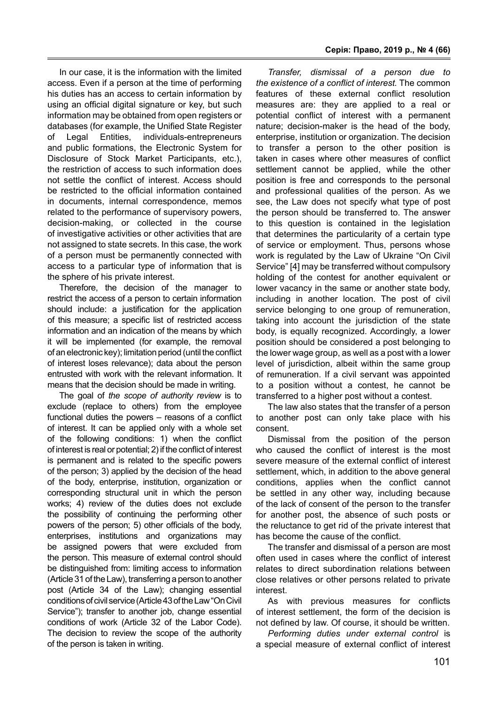In our case, it is the information with the limited access. Even if a person at the time of performing his duties has an access to certain information by using an official digital signature or key, but such information may be obtained from open registers or databases (for example, the Unified State Register of Legal Entities, individuals-entrepreneurs and public formations, the Electronic System for Disclosure of Stock Market Participants, etc.), the restriction of access to such information does not settle the conflict of interest. Access should be restricted to the official information contained in documents, internal correspondence, memos related to the performance of supervisory powers, decision-making, or collected in the course of investigative activities or other activities that are not assigned to state secrets. In this case, the work of a person must be permanently connected with access to a particular type of information that is the sphere of his private interest.

Therefore, the decision of the manager to restrict the access of a person to certain information should include: a justification for the application of this measure; a specific list of restricted access information and an indication of the means by which it will be implemented (for example, the removal of an electronic key); limitation period (until the conflict of interest loses relevance); data about the person entrusted with work with the relevant information. It means that the decision should be made in writing.

The goal of *the scope of authority review* is to exclude (replace to others) from the employee functional duties the powers – reasons of a conflict of interest. It can be applied only with a whole set of the following conditions: 1) when the conflict of interest is real or potential; 2) if the conflict of interest is permanent and is related to the specific powers of the person; 3) applied by the decision of the head of the body, enterprise, institution, organization or corresponding structural unit in which the person works; 4) review of the duties does not exclude the possibility of continuing the performing other powers of the person; 5) other officials of the body, enterprises, institutions and organizations may be assigned powers that were excluded from the person. This measure of external control should be distinguished from: limiting access to information (Article 31 of the Law), transferring a person to another post (Article 34 of the Law); changing essential conditions of civil service (Article 43 of the Law "On Civil Service"); transfer to another job, change essential conditions of work (Article 32 of the Labor Code). The decision to review the scope of the authority of the person is taken in writing.

*Transfer, dismissal of a person due to the existence of a conflict of interest.* The common features of these external conflict resolution measures are: they are applied to a real or potential conflict of interest with a permanent nature; decision-maker is the head of the body, enterprise, institution or organization. The decision to transfer a person to the other position is taken in cases where other measures of conflict settlement cannot be applied, while the other position is free and corresponds to the personal and professional qualities of the person. As we see, the Law does not specify what type of post the person should be transferred to. The answer to this question is contained in the legislation that determines the particularity of a certain type of service or employment. Thus, persons whose work is regulated by the Law of Ukraine "On Civil Service" [4] may be transferred without compulsory holding of the contest for another equivalent or lower vacancy in the same or another state body, including in another location. The post of civil service belonging to one group of remuneration, taking into account the jurisdiction of the state body, is equally recognized. Accordingly, a lower position should be considered a post belonging to the lower wage group, as well as a post with a lower level of jurisdiction, albeit within the same group of remuneration. If a civil servant was appointed to a position without a contest, he cannot be transferred to a higher post without a contest.

The law also states that the transfer of a person to another post can only take place with his consent.

Dismissal from the position of the person who caused the conflict of interest is the most severe measure of the external conflict of interest settlement, which, in addition to the above general conditions, applies when the conflict cannot be settled in any other way, including because of the lack of consent of the person to the transfer for another post, the absence of such posts or the reluctance to get rid of the private interest that has become the cause of the conflict.

The transfer and dismissal of a person are most often used in cases where the conflict of interest relates to direct subordination relations between close relatives or other persons related to private interest.

As with previous measures for conflicts of interest settlement, the form of the decision is not defined by law. Of course, it should be written.

*Performing duties under external control* is a special measure of external conflict of interest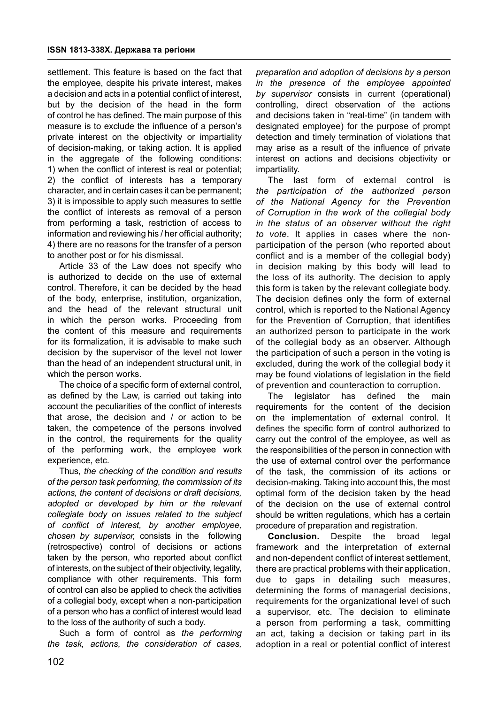settlement. This feature is based on the fact that the employee, despite his private interest, makes a decision and acts in a potential conflict of interest, but by the decision of the head in the form of control he has defined. The main purpose of this measure is to exclude the influence of a person's private interest on the objectivity or impartiality of decision-making, or taking action. It is applied in the aggregate of the following conditions: 1) when the conflict of interest is real or potential; 2) the conflict of interests has a temporary character, and in certain cases it can be permanent; 3) it is impossible to apply such measures to settle the conflict of interests as removal of a person from performing a task, restriction of access to information and reviewing his / her official authority; 4) there are no reasons for the transfer of a person to another post or for his dismissal.

Article 33 of the Law does not specify who is authorized to decide on the use of external control. Therefore, it can be decided by the head of the body, enterprise, institution, organization, and the head of the relevant structural unit in which the person works. Proceeding from the content of this measure and requirements for its formalization, it is advisable to make such decision by the supervisor of the level not lower than the head of an independent structural unit, in which the person works.

The choice of a specific form of external control, as defined by the Law, is carried out taking into account the peculiarities of the conflict of interests that arose, the decision and / or action to be taken, the competence of the persons involved in the control, the requirements for the quality of the performing work, the employee work experience, etc.

Thus, *the checking of the condition and results of the person task performing, the commission of its actions, the content of decisions or draft decisions, adopted or developed by him or the relevant collegiate body on issues related to the subject of conflict of interest, by another employee, chosen by supervisor,* consists in the following (retrospective) control of decisions or actions taken by the person, who reported about conflict of interests, on the subject of their objectivity, legality, compliance with other requirements. This form of control can also be applied to check the activities of a collegial body, except when a non-participation of a person who has a conflict of interest would lead to the loss of the authority of such a body.

Such a form of control as *the performing the task, actions, the consideration of cases,*  *preparation and adoption of decisions by a person in the presence of the employee appointed by supervisor* consists in current (operational) controlling, direct observation of the actions and decisions taken in "real-time" (in tandem with designated employee) for the purpose of prompt detection and timely termination of violations that may arise as a result of the influence of private interest on actions and decisions objectivity or impartiality.

The last form of external control is *the participation of the authorized person of the National Agency for the Prevention of Corruption in the work of the collegial body in the status of an observer without the right to vote*. It applies in cases where the nonparticipation of the person (who reported about conflict and is a member of the collegial body) in decision making by this body will lead to the loss of its authority. The decision to apply this form is taken by the relevant collegiate body. The decision defines only the form of external control, which is reported to the National Agency for the Prevention of Corruption, that identifies an authorized person to participate in the work of the collegial body as an observer. Although the participation of such a person in the voting is excluded, during the work of the collegial body it may be found violations of legislation in the field of prevention and counteraction to corruption.

The legislator has defined the main requirements for the content of the decision on the implementation of external control. It defines the specific form of control authorized to carry out the control of the employee, as well as the responsibilities of the person in connection with the use of external control over the performance of the task, the commission of its actions or decision-making. Taking into account this, the most optimal form of the decision taken by the head of the decision on the use of external control should be written regulations, which has a certain procedure of preparation and registration.

**Conclusion.** Despite the broad legal framework and the interpretation of external and non-dependent conflict of interest settlement, there are practical problems with their application, due to gaps in detailing such measures, determining the forms of managerial decisions, requirements for the organizational level of such a supervisor, etc. The decision to eliminate a person from performing a task, committing an act, taking a decision or taking part in its adoption in a real or potential conflict of interest